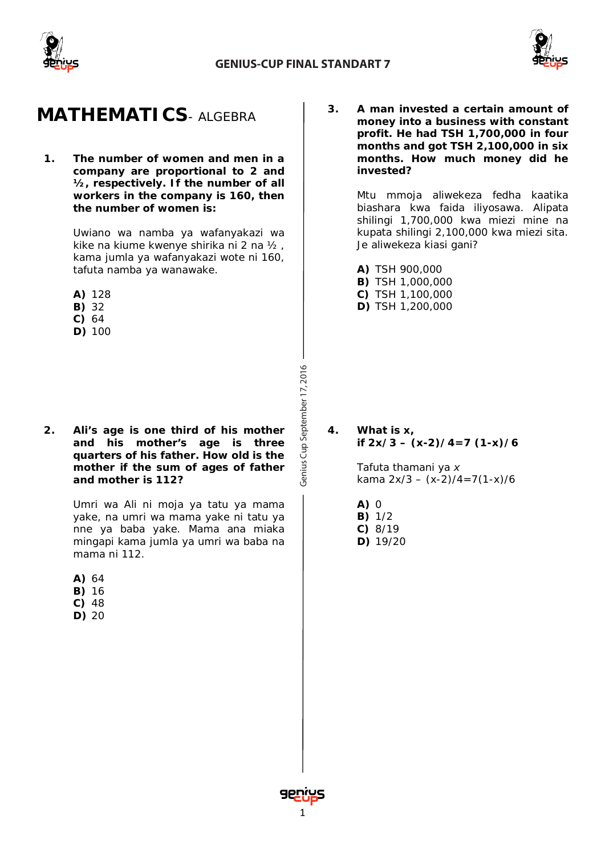



### **MATHEMATICS***- ALGEBRA*

**1. The number of women and men in a company are proportional to 2 and ½, respectively. If the number of all workers in the company is 160, then the number of women is:**

> *Uwiano wa namba ya wafanyakazi wa kike na kiume kwenye shirika ni 2 na ½ , kama jumla ya wafanyakazi wote ni 160, tafuta namba ya wanawake.*

- **A)** 128
- **B)** 32
- **C)** 64
- **D)** 100

**2. Ali's age is one third of his mother and his mother's age is three quarters of his father. How old is the mother if the sum of ages of father and mother is 112?**

> *Umri wa Ali ni moja ya tatu ya mama yake, na umri wa mama yake ni tatu ya nne ya baba yake. Mama ana miaka mingapi kama jumla ya umri wa baba na mama ni 112.*

- **A)** 64
- **B)** 16
- **C)** 48
- **D)** 20

**3. A man invested a certain amount of money into a business with constant profit. He had TSH 1,700,000 in four months and got TSH 2,100,000 in six months. How much money did he invested?**

> *Mtu mmoja aliwekeza fedha kaatika biashara kwa faida iliyosawa. Alipata shilingi 1,700,000 kwa miezi mine na kupata shilingi 2,100,000 kwa miezi sita. Je aliwekeza kiasi gani?*

**A)** TSH 900,000

- **B)** TSH 1,000,000
- **C)** TSH 1,100,000
- **D)** TSH 1,200,000

**4. What is x, if 2x/3 – (x-2)/4=7 (1-x)/6**

> *Tafuta thamani ya x kama 2x/3 – (x-2)/4=7(1-x)/6*

- **A)** 0 **B)** 1/2
- **C)** 8/19
- **D)** 19/20

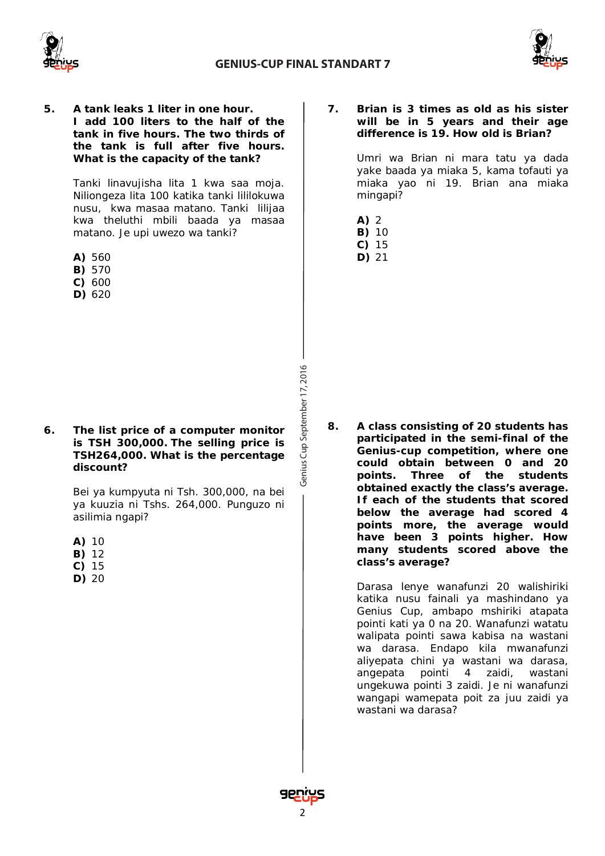



**5. A tank leaks 1 liter in one hour. I add 100 liters to the half of the tank in five hours. The two thirds of the tank is full after five hours. What is the capacity of the tank?**

> *Tanki linavujisha lita 1 kwa saa moja. Niliongeza lita 100 katika tanki lililokuwa nusu, kwa masaa matano. Tanki lilijaa kwa theluthi mbili baada ya masaa matano. Je upi uwezo wa tanki?*

- **A)** 560
- **B)** 570
- **C)** 600
- **D)** 620

#### **6. The list price of a computer monitor is TSH 300,000. The selling price is TSH264,000. What is the percentage discount?**

*Bei ya kumpyuta ni Tsh. 300,000, na bei ya kuuzia ni Tshs. 264,000. Punguzo ni asilimia ngapi?*

- **A)** 10
- **B)** 12
- **C)** 15
- **D)** 20

#### **7. Brian is 3 times as old as his sister will be in 5 years and their age difference is 19. How old is Brian?**

*Umri wa Brian ni mara tatu ya dada yake baada ya miaka 5, kama tofauti ya miaka yao ni 19. Brian ana miaka mingapi?*

- **A)** 2
- **B)** 10
- **C)** 15
- **D)** 21

**8. A class consisting of 20 students has participated in the semi-final of the Genius-cup competition, where one could obtain between 0 and 20 points. Three of the students obtained exactly the class's average. If each of the students that scored below the average had scored 4 points more, the average would have been 3 points higher. How many students scored above the class's average?**

> *Darasa lenye wanafunzi 20 walishiriki katika nusu fainali ya mashindano ya Genius Cup, ambapo mshiriki atapata pointi kati ya 0 na 20. Wanafunzi watatu walipata pointi sawa kabisa na wastani wa darasa. Endapo kila mwanafunzi aliyepata chini ya wastani wa darasa, angepata pointi 4 zaidi, wastani ungekuwa pointi 3 zaidi. Je ni wanafunzi wangapi wamepata poit za juu zaidi ya wastani wa darasa?*

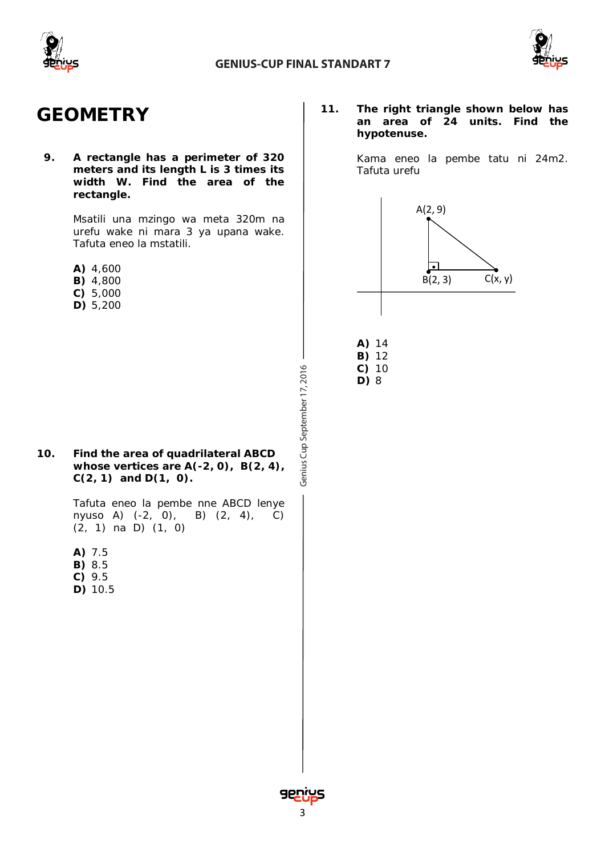



### **GEOMETRY**

**9. A rectangle has a perimeter of 320 meters and its length L is 3 times its width W. Find the area of the rectangle.**

> *Msatili una mzingo wa meta 320m na urefu wake ni mara 3 ya upana wake. Tafuta eneo la mstatili.*

- **A)** 4,600
- **B)** 4,800
- **C)** 5,000
- **D)** 5,200

**10. Find the area of quadrilateral ABCD whose vertices are A(-2, 0), B(2, 4), C(2, 1) and D(1, 0).**

> *Tafuta eneo la pembe nne ABCD lenye nyuso A) (-2, 0), B) (2, 4), C) (2, 1) na D) (1, 0)*

- **A)** 7.5
- **B)** 8.5
- **C)** 9.5
- **D)** 10.5

**11. The right triangle shown below has an area of 24 units. Find the hypotenuse.**

> *Kama eneo la pembe tatu ni 24m2. Tafuta urefu*



Genius Cup September 17, 2016 Cup September 17, 2016 **C)** 10 **D)** 8

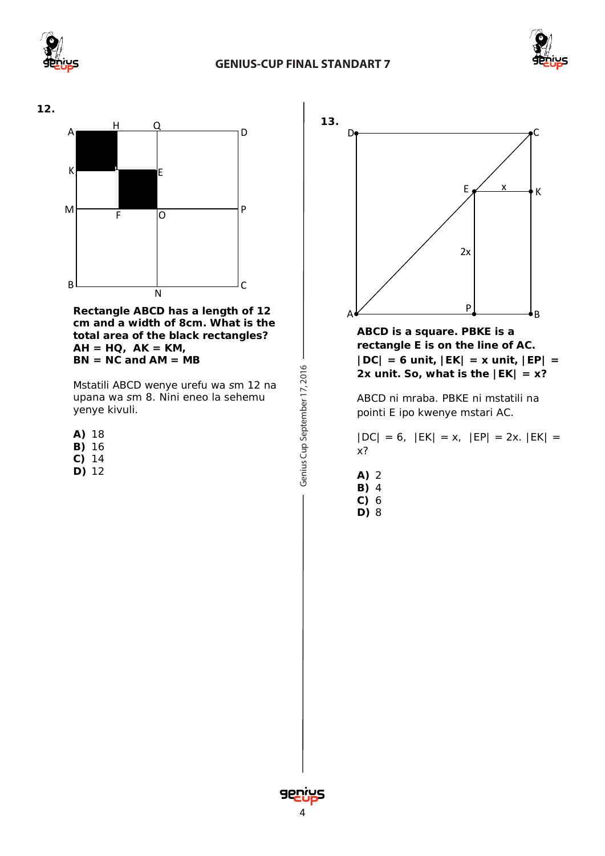





**Rectangle ABCD has a length of 12 cm and a width of 8cm. What is the total area of the black rectangles? AH = HQ, AK = KM, BN = NC and AM = MB**

*Mstatili ABCD wenye urefu wa sm 12 na upana wa sm 8. Nini eneo la sehemu yenye kivuli.* 

- **A)** 18
- **B)** 16
- **C)** 14
- **D)** 12

Genius Cup September 17, 2016 Cup September 17, 2016



**ABCD is a square. PBKE is a rectangle E is on the line of AC. |DC| = 6 unit, |EK| = x unit, |EP| = 2x unit. So, what is the**  $|EK| = x$ **?** 

*ABCD ni mraba. PBKE ni mstatili na pointi E ipo kwenye mstari AC.* 

*|DC| = 6, |EK| = x, |EP| = 2x. |EK| = x?*

- **A)** 2 **B)** 4
- **C)** 6 **D)** 8

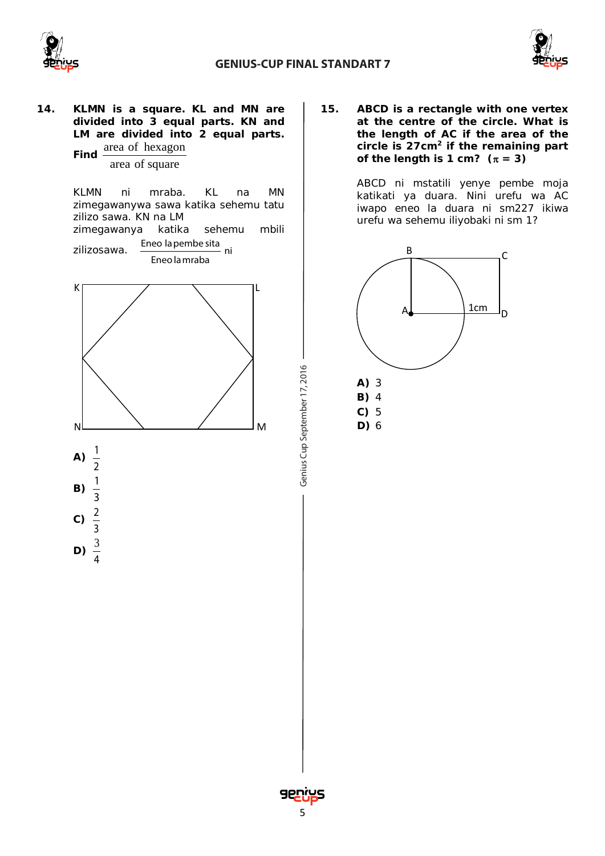



### **14. KLMN is a square. KL and MN are divided into 3 equal parts. KN and LM are divided into 2 equal parts. Find**  $\frac{\text{area of hexagon}}{\text{Area}}$ area of square

*KLMN ni mraba. KL na MN zimegawanywa sawa katika sehemu tatu zilizo sawa. KN na LM zimegawanya katika sehemu mbili*  zilizosawa. Eneo la pembe sita<br>
ni Eneo lamraba



**15. ABCD is a rectangle with one vertex at the centre of the circle. What is the length of AC if the area of the circle is 27cm2 if the remaining part** of the length is 1 cm?  $(\pi = 3)$ 

> *ABCD ni mstatili yenye pembe moja katikati ya duara. Nini urefu wa AC iwapo eneo la duara ni sm227 ikiwa urefu wa sehemu iliyobaki ni sm 1?*



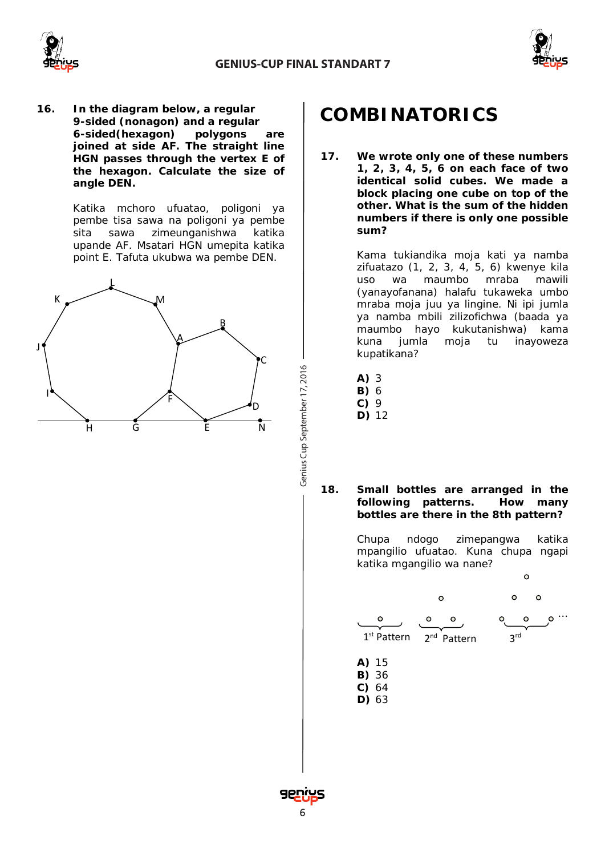



**16. In the diagram below, a regular 9-sided (nonagon) and a regular 6-sided(hexagon) polygons are joined at side AF. The straight line HGN passes through the vertex E of the hexagon. Calculate the size of angle DEN.**

> *Katika mchoro ufuatao, poligoni ya pembe tisa sawa na poligoni ya pembe sita sawa zimeunganishwa katika upande AF. Msatari HGN umepita katika point E. Tafuta ukubwa wa pembe DEN.*



# **COMBINATORICS**

**17. We wrote only one of these numbers 1, 2, 3, 4, 5, 6 on each face of two identical solid cubes. We made a block placing one cube on top of the other. What is the sum of the hidden numbers if there is only one possible sum?**

> *Kama tukiandika moja kati ya namba zifuatazo (1, 2, 3, 4, 5, 6) kwenye kila uso wa maumbo mraba mawili (yanayofanana) halafu tukaweka umbo mraba moja juu ya lingine. Ni ipi jumla ya namba mbili zilizofichwa (baada ya maumbo hayo kukutanishwa) kama kuna jumla moja tu inayoweza kupatikana?*

- **A)** 3
- **B)** 6
- **C)** 9

Cup September 17, 2016

**D)** 12

**18. Small bottles are arranged in the following patterns. How many bottles are there in the 8th pattern?**

> *Chupa ndogo zimepangwa katika mpangilio ufuatao. Kuna chupa ngapi katika mgangilio wa nane?*



- **D)** 63
- 

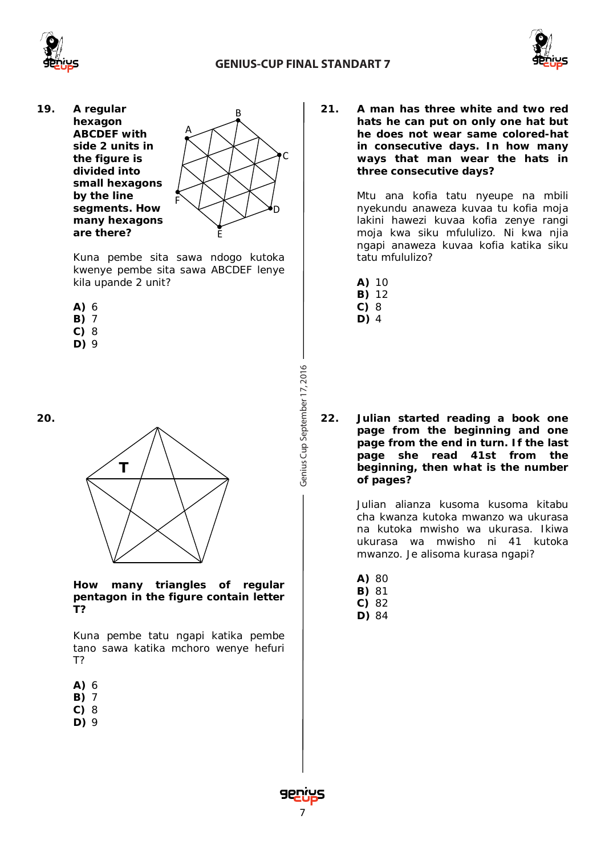



**19. A regular hexagon ABCDEF with side 2 units in the figure is divided into small hexagons by the line segments. How many hexagons are there?**



*Kuna pembe sita sawa ndogo kutoka kwenye pembe sita sawa ABCDEF lenye kila upande 2 unit?*

- **A)** 6
- **B)** 7
- **C)** 8
- **D)** 9

**20.**

**T**

**How many triangles of regular pentagon in the figure contain letter T?**

*Kuna pembe tatu ngapi katika pembe tano sawa katika mchoro wenye hefuri T?*

- **A)** 6
- **B)** 7
- **C)** 8
- **D)** 9

**21. A man has three white and two red hats he can put on only one hat but he does not wear same colored-hat in consecutive days. In how many ways that man wear the hats in three consecutive days?**

> *Mtu ana kofia tatu nyeupe na mbili nyekundu anaweza kuvaa tu kofia moja lakini hawezi kuvaa kofia zenye rangi moja kwa siku mfululizo. Ni kwa njia ngapi anaweza kuvaa kofia katika siku tatu mfululizo?*

- **A)** 10
- **B)** 12
- **C)** 8 **D)** 4

**22. Julian started reading a book one page from the beginning and one page from the end in turn. If the last page she read 41st from the beginning, then what is the number of pages?**

> *Julian alianza kusoma kusoma kitabu cha kwanza kutoka mwanzo wa ukurasa na kutoka mwisho wa ukurasa. Ikiwa ukurasa wa mwisho ni 41 kutoka mwanzo. Je alisoma kurasa ngapi?*

- **A)** 80
- **B)** 81
- **C)** 82
- **D)** 84

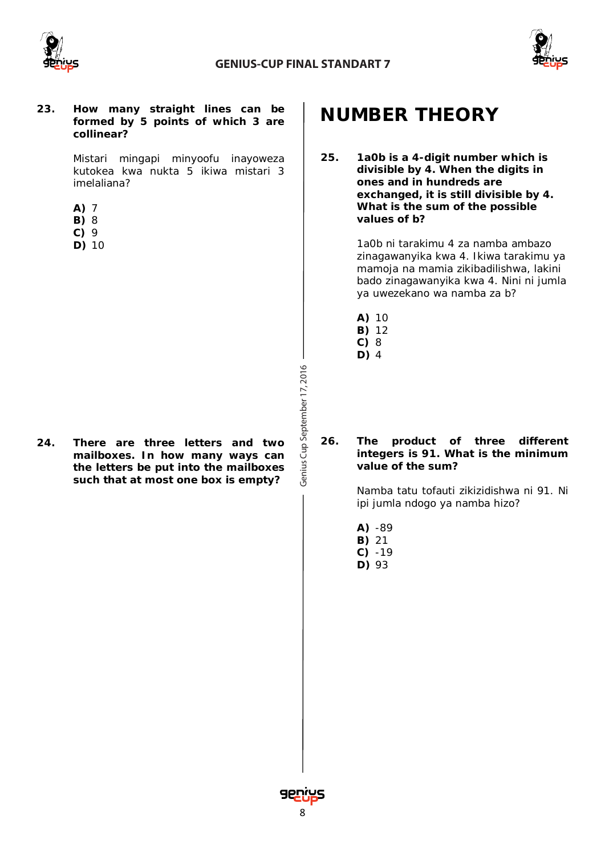



#### **23. How many straight lines can be formed by 5 points of which 3 are collinear?**

*Mistari mingapi minyoofu inayoweza kutokea kwa nukta 5 ikiwa mistari 3 imelaliana?*

- **A)** 7
- **B)** 8
- **C)** 9
- **D)** 10

**24. There are three letters and two mailboxes. In how many ways can the letters be put into the mailboxes such that at most one box is empty?**

# **NUMBER THEORY**

**25. 1a0b is a 4-digit number which is divisible by 4. When the digits in ones and in hundreds are exchanged, it is still divisible by 4. What is the sum of the possible values of b?**

> *1a0b ni tarakimu 4 za namba ambazo zinagawanyika kwa 4. Ikiwa tarakimu ya mamoja na mamia zikibadilishwa, lakini bado zinagawanyika kwa 4. Nini ni jumla ya uwezekano wa namba za b?*

- **A)** 10
- **B)** 12
- **C)** 8
- **D)** 4

#### **26. The product of three different integers is 91. What is the minimum value of the sum?**

*Namba tatu tofauti zikizidishwa ni 91. Ni ipi jumla ndogo ya namba hizo?*

- **A)** -89
- **B)** 21
- **C)** -19
- **D)** 93

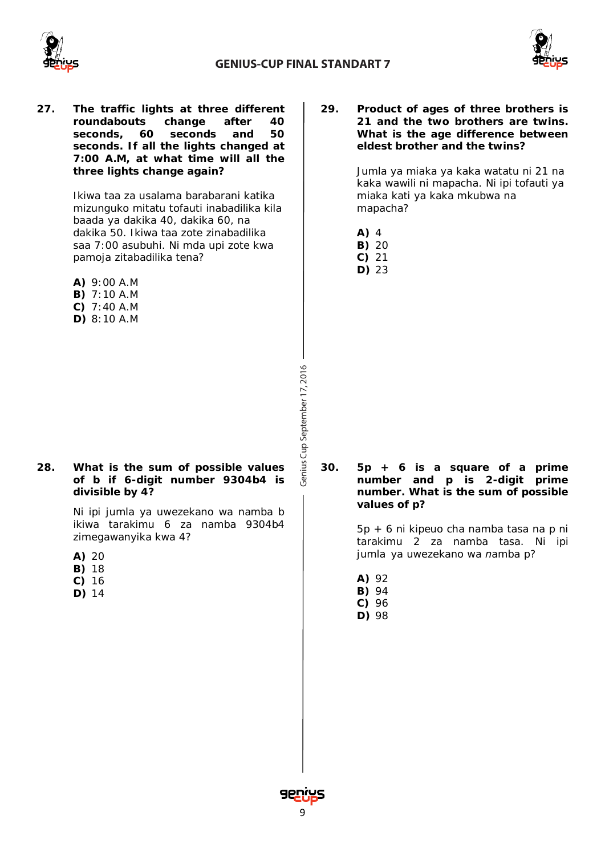



**27. The traffic lights at three different roundabouts change after 40 seconds, 60 seconds and 50 seconds. If all the lights changed at 7:00 A.M, at what time will all the three lights change again?**

> *Ikiwa taa za usalama barabarani katika mizunguko mitatu tofauti inabadilika kila baada ya dakika 40, dakika 60, na dakika 50. Ikiwa taa zote zinabadilika saa 7:00 asubuhi. Ni mda upi zote kwa pamoja zitabadilika tena?*

- **A)** 9:00 A.M
- **B)** 7:10 A.M
- **C)** 7:40 A.M
- **D)** 8:10 A.M

**28. What is the sum of possible values of b if 6-digit number 9304b4 is divisible by 4?**

> *Ni ipi jumla ya uwezekano wa namba b ikiwa tarakimu 6 za namba 9304b4 zimegawanyika kwa 4?*

- **A)** 20
- **B)** 18
- **C)** 16
- **D)** 14

**29. Product of ages of three brothers is 21 and the two brothers are twins. What is the age difference between eldest brother and the twins?**

> *Jumla ya miaka ya kaka watatu ni 21 na kaka wawili ni mapacha. Ni ipi tofauti ya miaka kati ya kaka mkubwa na mapacha?*

- **A)** 4
- **B)** 20
- **C)** 21
- **D)** 23

**30. 5p + 6 is a square of a prime number and p is 2-digit prime number. What is the sum of possible values of p?**

> *5p + 6 ni kipeuo cha namba tasa na p ni tarakimu 2 za namba tasa. Ni ipi jumla ya uwezekano wa namba p?*

- **A)** 92
- **B)** 94
- **C)** 96
- **D)** 98

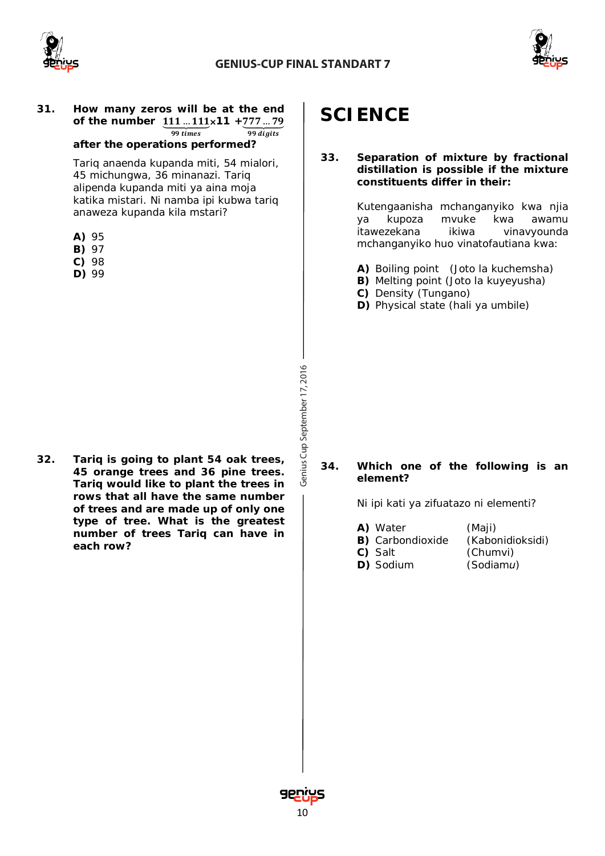



#### **31. How many zeros will be at the end** of the number  $\underline{111} \dots \underline{111} \times 11 + \underline{777} \dots \underline{79}$  $99 \, times$  $\overline{99 \, diuits}$

#### **after the operations performed?**

*Tariq anaenda kupanda miti, 54 mialori, 45 michungwa, 36 minanazi. Tariq alipenda kupanda miti ya aina moja katika mistari. Ni namba ipi kubwa tariq anaweza kupanda kila mstari?*

- **A)** 95
- **B)** 97
- **C)** 98
- **D)** 99

**32. Tariq is going to plant 54 oak trees, 45 orange trees and 36 pine trees. Tariq would like to plant the trees in rows that all have the same number of trees and are made up of only one type of tree. What is the greatest number of trees Tariq can have in each row?**

## **SCIENCE**

#### **33. Separation of mixture by fractional distillation is possible if the mixture constituents differ in their:**

*Kutengaanisha mchanganyiko kwa njia ya kupoza mvuke kwa awamu itawezekana ikiwa vinavyounda mchanganyiko huo vinatofautiana kwa:*

- **A)** Boiling point (Joto la kuchemsha)
- **B)** Melting point (Joto la kuyeyusha)
- **C)** Density (Tungano)
- **D)** Physical state (hali ya umbile)

#### **34. Which one of the following is an element?**

*Ni ipi kati ya zifuatazo ni elementi?*

**A)** Water *(Maji)* **B)** Carbondioxide *(Kabonidioksidi)* **C)** Salt *(Chumvi)* **D)** Sodium *(Sodiamu)*

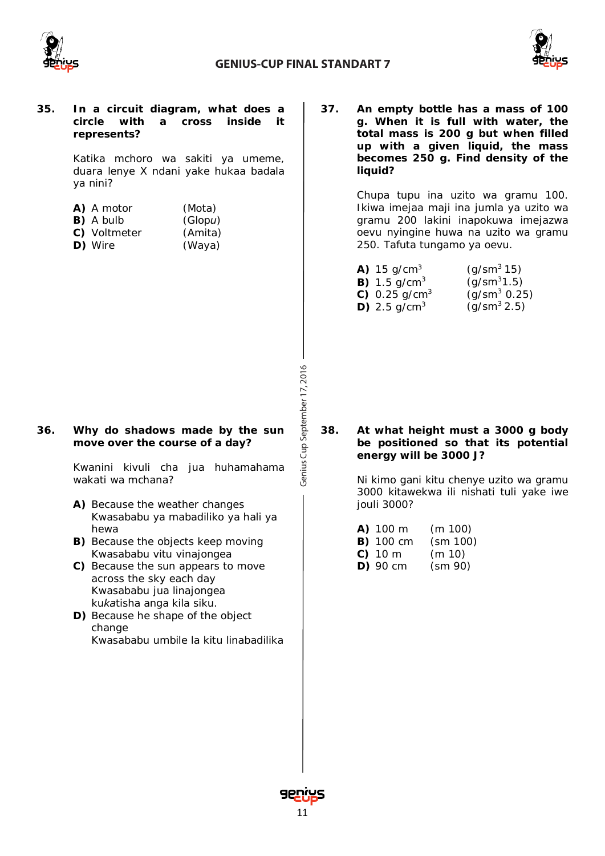



#### **35. In a circuit diagram, what does a circle with a cross inside it represents?**

*Katika mchoro wa sakiti ya umeme, duara lenye X ndani yake hukaa badala ya nini?* 

| A) A motor       | (Mota)  |
|------------------|---------|
| <b>B)</b> A bulb | (Glopu) |
| C) Voltmeter     | (Amita) |
| D) Wire          | (Waya)  |

#### **36. Why do shadows made by the sun move over the course of a day?**

*Kwanini kivuli cha jua huhamahama wakati wa mchana?*

- **A)** Because the weather changes *Kwasababu ya mabadiliko ya hali ya hewa*
- **B)** Because the objects keep moving *Kwasababu vitu vinajongea*
- **C)** Because the sun appears to move across the sky each day *Kwasababu jua linajongea kukatisha anga kila siku.*
- **D)** Because he shape of the object change *Kwasababu umbile la kitu linabadilika*

**37. An empty bottle has a mass of 100 g. When it is full with water, the total mass is 200 g but when filled up with a given liquid, the mass becomes 250 g. Find density of the liquid?**

> *Chupa tupu ina uzito wa gramu 100. Ikiwa imejaa maji ina jumla ya uzito wa gramu 200 lakini inapokuwa imejazwa oevu nyingine huwa na uzito wa gramu 250. Tafuta tungamo ya oevu.*

| <b>A)</b> 15 g/cm <sup>3</sup>   | $(g/\text{sm}^3 15)$     |
|----------------------------------|--------------------------|
| <b>B)</b> 1.5 g/cm <sup>3</sup>  | $(g/\text{sm}^31.5)$     |
| <b>C)</b> 0.25 g/cm <sup>3</sup> | $(g/\text{sm}^3 \ 0.25)$ |
| <b>D)</b> 2.5 g/cm <sup>3</sup>  | $(g/\text{sm}^3 2.5)$    |

**38. At what height must a 3000 g body be positioned so that its potential energy will be 3000 J?**

> *Ni kimo gani kitu chenye uzito wa gramu 3000 kitawekwa ili nishati tuli yake iwe jouli 3000?*

| A) 100 m         | (m 100)  |
|------------------|----------|
| <b>B)</b> 100 cm | (sm 100) |
| $C)$ 10 m        | (m 10)   |
| $D)$ 90 cm       | (sm 90)  |



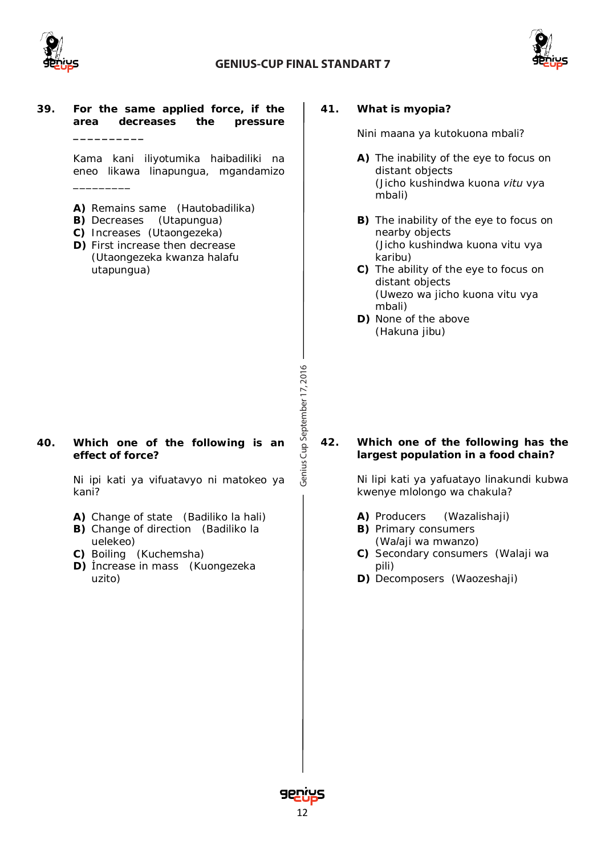

### **GENIUS-CUP FINAL STANDART 7**

Genius Cup September 17, 2016 Cup September 17, 2016



#### **39. For the same applied force, if the area decreases the pressure**

**\_\_\_\_\_\_\_\_\_\_**

*\_\_\_\_\_\_\_\_\_*

*Kama kani iliyotumika haibadiliki na eneo likawa linapungua, mgandamizo* 

- **A)** Remains same (*Hautobadilika*)
- **B)** Decreases (*Utapungua*)
- **C)** Increases (*Utaongezeka*)
- **D)** First increase then decrease (*Utaongezeka kwanza halafu utapungua*)

### **40. Which one of the following is an effect of force?**

*Ni ipi kati ya vifuatavyo ni matokeo ya kani?*

- **A)** Change of state (*Badiliko la hali*)
- **B)** Change of direction (*Badiliko la uelekeo*)
- **C)** Boiling (*Kuchemsha*)
- **D)** İncrease in mass (*Kuongezeka uzito*)

#### **41. What is myopia?**

*Nini maana ya kutokuona mbali?* 

- **A)** The inability of the eye to focus on distant objects *(Jicho kushindwa kuona vitu vya mbali)*
- **B)** The inability of the eye to focus on nearby objects *(Jicho kushindwa kuona vitu vya karibu)*
- **C)** The ability of the eye to focus on distant objects *(Uwezo wa jicho kuona vitu vya mbali)*
- **D)** None of the above *(Hakuna jibu)*

### **42. Which one of the following has the largest population in a food chain?**

*Ni lipi kati ya yafuatayo linakundi kubwa kwenye mlolongo wa chakula?*

- **A)** Producers (*Wazalishaji*)
- **B)** Primary consumers (*Walaji wa mwanzo*)
- **C)** Secondary consumers (*Walaji wa pili*)
- **D)** Decomposers (*Waozeshaji*)

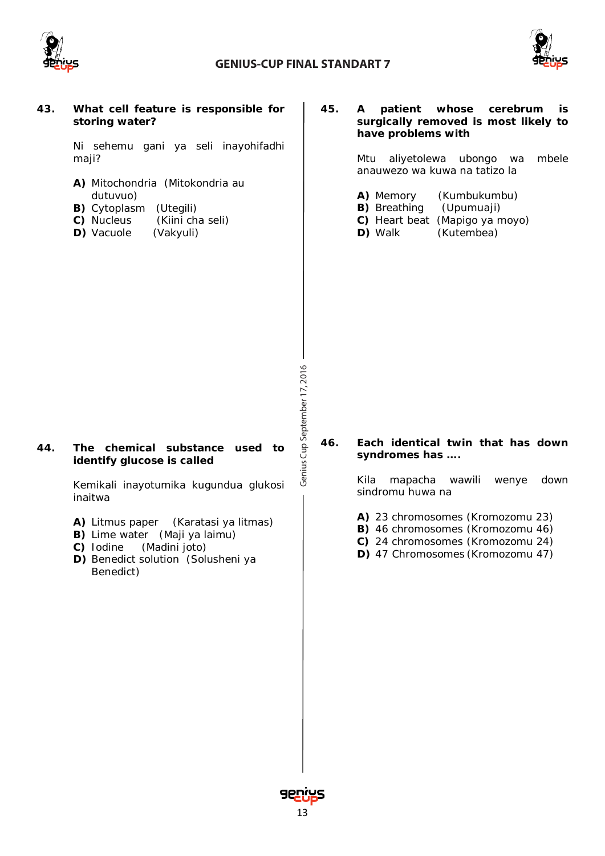



#### **43. What cell feature is responsible for storing water?**

*Ni sehemu gani ya seli inayohifadhi maji?*

- **A)** Mitochondria (*Mitokondria au dutuvuo*)
- **B)** Cytoplasm (*Utegili*)
- **C)** Nucleus (*Kiini cha seli*)
- **D)** Vacuole (*Vakyuli*)

#### **45. A patient whose cerebrum is surgically removed is most likely to have problems with**

*Mtu aliyetolewa ubongo wa mbele anauwezo wa kuwa na tatizo la*

- **A)** Memory (Kumbukumbu)
- **B)** Breathing (Upumuaji)
- **C)** Heart beat (Mapigo ya moyo)
- **D)** Walk (Kutembea)

Genius Cup September 17, 2016 Cup September 17, 2016

#### **44. The chemical substance used to identify glucose is called**

*Kemikali inayotumika kugundua glukosi inaitwa*

- **A)** Litmus paper (*Karatasi ya litmas*)
- **B)** Lime water (*Maji ya laimu*)
- **C)** Iodine (*Madini joto*)
- **D)** Benedict solution (*Solusheni ya Benedict*)

#### **46. Each identical twin that has down syndromes has ….**

*Kila mapacha wawili wenye down sindromu huwa na*

- **A)** 23 chromosomes (*Kromozomu 23*)
- **B)** 46 chromosomes (*Kromozomu 46*)
- **C)** 24 chromosomes (*Kromozomu 24*)
- **D)** 47 Chromosomes (*Kromozomu 47*)

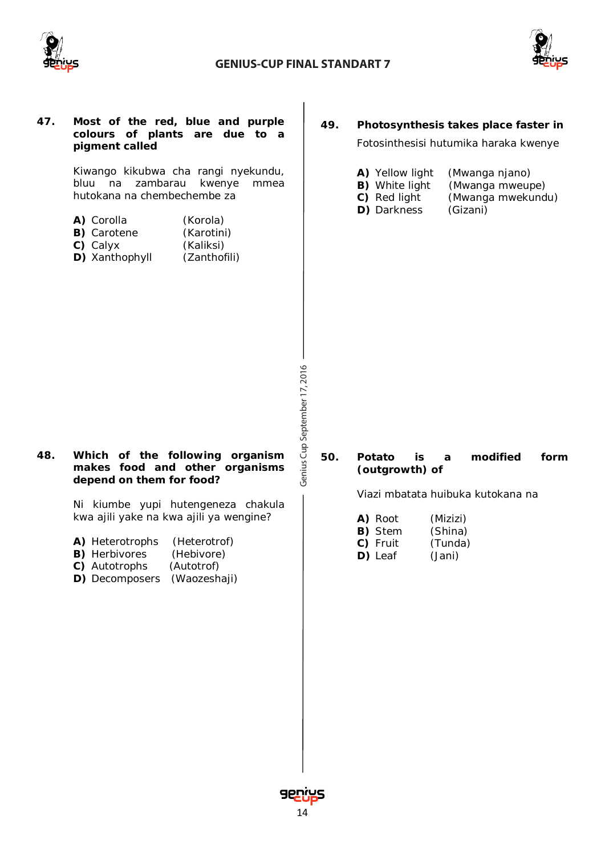



| 47. | Most of the red, blue and purple<br>colours of plants are due to a<br>pigment called<br>Kiwango kikubwa cha rangi nyekundu,<br>bluu na<br>zambarau<br>kwenye<br>mmea<br>hutokana na chembechembe za<br>A) Corolla<br>(Korola)<br><b>B)</b> Carotene<br>(Karotini)<br>C) Calyx<br>(Kaliksi)<br>D) Xanthophyll<br>(Zanthofili) | 49.                                  | Photosynthesis takes place faster in<br>Fotosinthesisi hutumika haraka kwenye<br>A) Yellow light<br>(Mwanga njano)<br><b>B)</b> White light<br>(Mwanga mweupe)<br>(Mwanga mwekundu)<br>C) Red light<br>D) Darkness<br>(Gizani) |
|-----|------------------------------------------------------------------------------------------------------------------------------------------------------------------------------------------------------------------------------------------------------------------------------------------------------------------------------|--------------------------------------|--------------------------------------------------------------------------------------------------------------------------------------------------------------------------------------------------------------------------------|
| 48. | Which of the following organism<br>makes food and other organisms<br>depend on them for food?<br>Ni kiumbe yupi hutengeneza chakula<br>kwa ajili yake na kwa ajili ya wengine?<br>A) Heterotrophs<br>(Heterotrof)<br><b>B)</b> Herbivores<br>(Hebivore)<br>C) Autotrophs<br>(Autotrof)<br>D) Decomposers<br>(Waozeshaji)     | Genius Cup September 17, 2016<br>50. | modified<br>Potato<br>form<br>is<br>a<br>(outgrowth) of<br>Viazi mbatata huibuka kutokana na<br>A) Root<br>(Mizizi)<br>B) Stem<br>(Shina)<br>C) Fruit<br>(Tunda)<br>D) Leaf<br>(Jani)                                          |

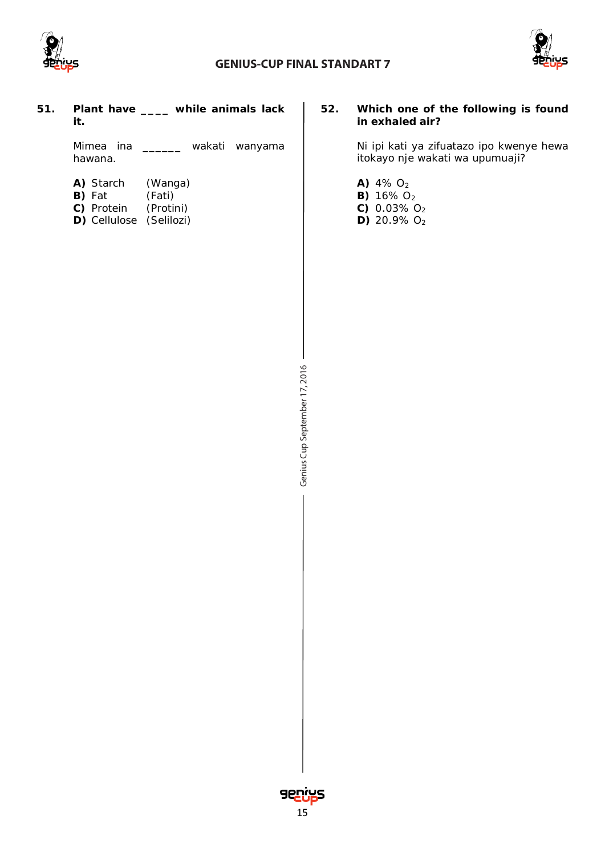

### **GENIUS-CUP FINAL STANDART 7**



**51. Plant have \_\_\_\_ while animals lack it.**

> *Mimea ina \_\_\_\_\_\_ wakati wanyama hawana.*

| A) Starch      | (Wanga)   |
|----------------|-----------|
| <b>B</b> ) Fat | (Fati)    |
| C) Protein     | (Protini) |

**D)** Cellulose (*Selilozi*)

#### **52. Which one of the following is found in exhaled air?**

*Ni ipi kati ya zifuatazo ipo kwenye hewa itokayo nje wakati wa upumuaji?*

- **A)** 4% O2
- **B)** 16% O<sub>2</sub>
- **C)** 0.03% O<sup>2</sup>
- **D)** 20.9% O<sup>2</sup>

Genius Cup September 17, 2016 Cup September 17, 2016